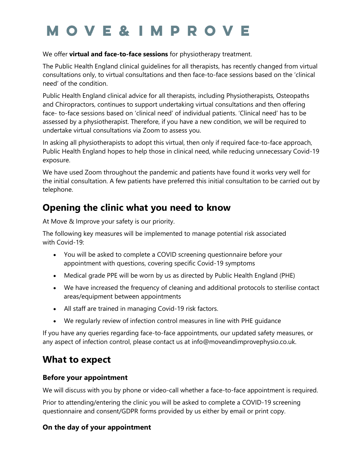# **MOVE&IMPROVE**

#### We offer **virtual and face-to-face sessions** for physiotherapy treatment.

The Public Health England clinical guidelines for all therapists, has recently changed from virtual consultations only, to virtual consultations and then face-to-face sessions based on the 'clinical need' of the condition.

Public Health England clinical advice for all therapists, including Physiotherapists, Osteopaths and Chiropractors, continues to support undertaking virtual consultations and then offering face- to-face sessions based on 'clinical need' of individual patients. 'Clinical need' has to be assessed by a physiotherapist. Therefore, if you have a new condition, we will be required to undertake virtual consultations via Zoom to assess you.

In asking all physiotherapists to adopt this virtual, then only if required face-to-face approach, Public Health England hopes to help those in clinical need, while reducing unnecessary Covid-19 exposure.

We have used Zoom throughout the pandemic and patients have found it works very well for the initial consultation. A few patients have preferred this initial consultation to be carried out by telephone.

# **Opening the clinic what you need to know**

At Move & Improve your safety is our priority.

The following key measures will be implemented to manage potential risk associated with Covid-19:

- You will be asked to complete a COVID screening questionnaire before your appointment with questions, covering specific Covid-19 symptoms
- Medical grade PPE will be worn by us as directed by Public Health England (PHE)
- We have increased the frequency of cleaning and additional protocols to sterilise contact areas/equipment between appointments
- All staff are trained in managing Covid-19 risk factors.
- We regularly review of infection control measures in line with PHE guidance

If you have any queries regarding face-to-face appointments, our updated safety measures, or any aspect of infection control, please contact us at info@moveandimprovephysio.co.uk.

## **What to expect**

### **Before your appointment**

We will discuss with you by phone or video-call whether a face-to-face appointment is required.

Prior to attending/entering the clinic you will be asked to complete a COVID-19 screening questionnaire and consent/GDPR forms provided by us either by email or print copy.

## **On the day of your appointment**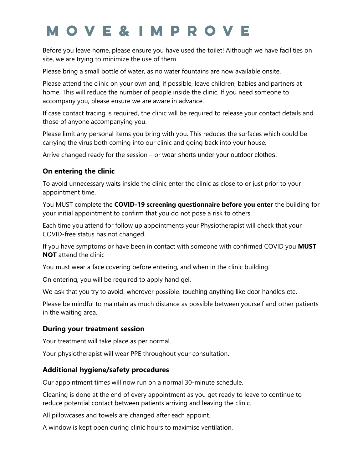# **MOVE&IMPROVE**

Before you leave home, please ensure you have used the toilet! Although we have facilities on site, we are trying to minimize the use of them.

Please bring a small bottle of water, as no water fountains are now available onsite.

Please attend the clinic on your own and, if possible, leave children, babies and partners at home. This will reduce the number of people inside the clinic. If you need someone to accompany you, please ensure we are aware in advance.

If case contact tracing is required, the clinic will be required to release your contact details and those of anyone accompanying you.

Please limit any personal items you bring with you. This reduces the surfaces which could be carrying the virus both coming into our clinic and going back into your house.

Arrive changed ready for the session – or wear shorts under your outdoor clothes.

## **On entering the clinic**

To avoid unnecessary waits inside the clinic enter the clinic as close to or just prior to your appointment time.

You MUST complete the **COVID-19 screening questionnaire before you enter** the building for your initial appointment to confirm that you do not pose a risk to others.

Each time you attend for follow up appointments your Physiotherapist will check that your COVID-free status has not changed.

If you have symptoms or have been in contact with someone with confirmed COVID you **MUST NOT** attend the clinic

You must wear a face covering before entering, and when in the clinic building.

On entering, you will be required to apply hand gel.

We ask that you try to avoid, wherever possible, touching anything like door handles etc.

Please be mindful to maintain as much distance as possible between yourself and other patients in the waiting area.

### **During your treatment session**

Your treatment will take place as per normal.

Your physiotherapist will wear PPE throughout your consultation.

## **Additional hygiene/safety procedures**

Our appointment times will now run on a normal 30-minute schedule.

Cleaning is done at the end of every appointment as you get ready to leave to continue to reduce potential contact between patients arriving and leaving the clinic.

All pillowcases and towels are changed after each appoint.

A window is kept open during clinic hours to maximise ventilation.